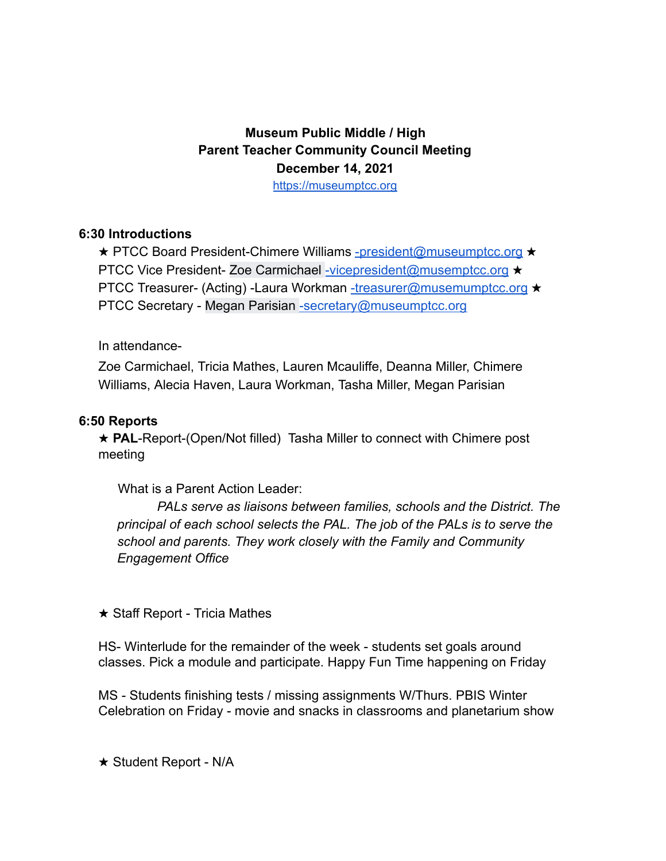# **Museum Public Middle / High Parent Teacher Community Council Meeting December 14, 2021**

https://museumptcc.org

### **6:30 Introductions**

★ PTCC Board President-Chimere Williams -president@museumptcc.org ★ PTCC Vice President- Zoe Carmichael -vicepresident@musemptcc.org ★ PTCC Treasurer- (Acting) -Laura Workman -treasurer@musemumptcc.org ★ PTCC Secretary - Megan Parisian -secretary@museumptcc.org

#### In attendance-

Zoe Carmichael, Tricia Mathes, Lauren Mcauliffe, Deanna Miller, Chimere Williams, Alecia Haven, Laura Workman, Tasha Miller, Megan Parisian

### **6:50 Reports**

**★ PAL-Report-(Open/Not filled) Tasha Miller to connect with Chimere post** meeting

What is a Parent Action Leader:

*PALs serve as liaisons between families, schools and the District. The principal of each school selects the PAL. The job of the PALs is to serve the school and parents. They work closely with the Family and Community Engagement Office*

★ Staff Report - Tricia Mathes

HS- Winterlude for the remainder of the week - students set goals around classes. Pick a module and participate. Happy Fun Time happening on Friday

MS - Students finishing tests / missing assignments W/Thurs. PBIS Winter Celebration on Friday - movie and snacks in classrooms and planetarium show

★ Student Report - N/A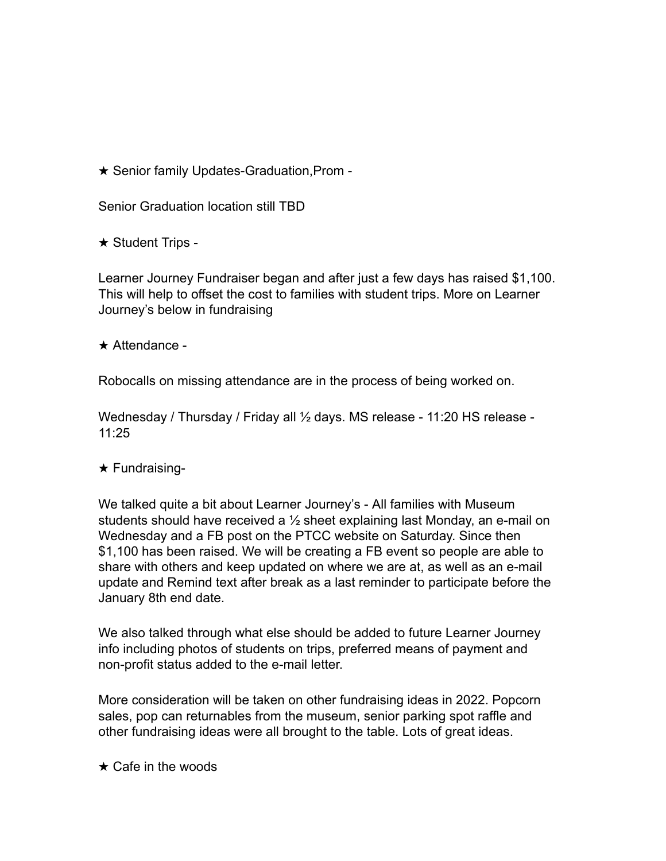★ Senior family Updates-Graduation,Prom -

Senior Graduation location still TBD

**★ Student Trips -**

Learner Journey Fundraiser began and after just a few days has raised \$1,100. This will help to offset the cost to families with student trips. More on Learner Journey's below in fundraising

**★ Attendance -**

Robocalls on missing attendance are in the process of being worked on.

Wednesday / Thursday / Friday all 1/2 days. MS release - 11:20 HS release -11:25

## $\star$  Fundraising-

We talked quite a bit about Learner Journey's - All families with Museum students should have received a  $\frac{1}{2}$  sheet explaining last Monday, an e-mail on Wednesday and a FB post on the PTCC website on Saturday. Since then \$1,100 has been raised. We will be creating a FB event so people are able to share with others and keep updated on where we are at, as well as an e-mail update and Remind text after break as a last reminder to participate before the January 8th end date.

We also talked through what else should be added to future Learner Journey info including photos of students on trips, preferred means of payment and non-profit status added to the e-mail letter.

More consideration will be taken on other fundraising ideas in 2022. Popcorn sales, pop can returnables from the museum, senior parking spot raffle and other fundraising ideas were all brought to the table. Lots of great ideas.

 $\star$  Cafe in the woods